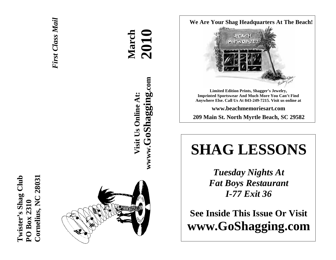



**March 2010 wwww.GoShagging.com** www.GoShagging.com **Visit Us Online At:** Visit Us Online At:

**We Are Your Shag Headquarters At The Beach!** 



**Limited Edition Prints, Shagger's Jewelry, Imprinted Sportswear And Much More You Can't Find Anywhere Else. Call Us At 843-249-7215. Visit us online at** 

**www.beachmemoriesart.com** 

**209 Main St. North Myrtle Beach, SC 29582**

# **SHAG LESSONS**

*Tuesday Nights At Fat Boys Restaurant I-77 Exit 36* 

**See Inside This Issue Or Visit www.GoShagging.com**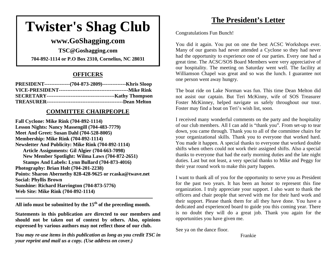# **Twister's Shag Club**

## **www.GoShagging.com**

**TSC@Goshagging.com 704-892-1114 or P.O Box 2310, Cornelius, NC 28031** 

#### **OFFICERS**

| PRESIDENT----------------(704-873-2809)---------------Khris Sloop |  |
|-------------------------------------------------------------------|--|
|                                                                   |  |
|                                                                   |  |
|                                                                   |  |

#### **COMMITTEE CHAIRPEOPLE**

**Fall Cyclone: Mike Rink (704-892-1114) Lesson Nights: Nancy Massengill (704-483-7779) Meet And Greet: Susan Dahl (704-528-8005) Membership: Mike Rink (704-892-1114) Newsletter And Publicity: Mike Rink (704-892-1114) Article Assignments: Gil Algier (704-663-7098) New Member Spotlight: Wilma Laws (704-872-2651) Stamps And Labels: Lynn Bullard (704-873-4016) Photography: Brian Holt (704-201-2238) Points: Sharon Abernethy 828-428-9625 or rcaska@twave.net Social: Phyllis Brown Sunshine: Richard Harrington (704-873-5776) Web Site: Mike Rink (704-892-1114)** 

**All info must be submitted by the 15th of the preceding month.** 

**Statements in this publication are directed to our members and should not be taken out of context by others. Also, opinions expressed by various authors may not reflect those of our club.** 

*You may re-use items in this publication as long as you credit TSC in your reprint and mail us a copy. (Use address on cover.)* 

## **The President's Letter**

Congratulations Fun Bunch!

You did it again. You put on one the best ACSC Workshops ever. Many of our guests had never attended a Cyclone so they had never had the opportunity to experience one of our parties. Every one had a great time. The ACSC/SOS Board Members were very appreciative of our hospitality. The meeting on Saturday went well. The facility at Williamson Chapel was great and so was the lunch. I guarantee not one person went away hungry.

The boat ride on Lake Norman was fun. This time Dean Melton did not assist our captain. But Teri McKinny, wife of SOS Treasurer Foster McKinney, helped navigate us safely throughout our tour. Foster may find a boat on Teri's wish list, soon.

I received many wonderful comments on the party and the hospitality of our club members. All I can add is "thank you". From set-up to tear down, you came through. Thank you to all of the committee chairs for your organizational skills. Thank you to everyone that worked hard. You made it happen. A special thanks to everyone that worked double shifts when others could not work their assigned shifts. Also a special thanks to everyone that had the early morning duties and the late night duties. Last but not least, a very special thanks to Mike and Peggy for their year round work to make this party happen.

I want to thank all of you for the opportunity to serve you as President for the past two years. It has been an honor to represent this fine organization. I truly appreciate your support. I also want to thank the officers and chair people that served with me for their hard work and their support. Please thank them for all they have done. You have a dedicated and experienced board to guide you this coming year. There is no doubt they will do a great job. Thank you again for the opportunities you have given me.

See ya on the dance floor.

Frankie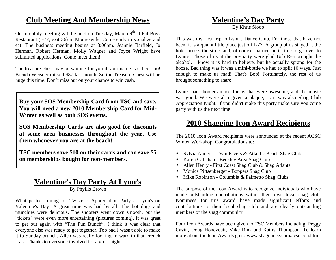## **Club Meeting And Membership News**

Our monthly meeting will be held on Tuesday, March  $9<sup>th</sup>$  at Fat Boys Restaurant (I-77, exit 36) in Mooresville. Come early to socialize and eat. The business meeting begins at 8:00pm. Jeannie Barfield, Jo Herman, Robert Herman, Molly Wagner and Joyce Wright have submitted applications. Come meet them!

The treasure chest may be waiting for you if your name is called, too! Brenda Weisner missed \$87 last month. So the Treasure Chest will be huge this time. Don't miss out on your chance to win cash.

**Buy your SOS Membership Card from TSC and save. You will need a new 2010 Membership Card for Mid-Winter as well as both SOS events.** 

**SOS Membership Cards are also good for discounts at some area businesses throughout the year. Use them whenever you are at the beach!** 

**TSC members save \$10 on their cards and can save \$5 on memberships bought for non-members.** 

## **Valentine's Day Party At Lynn's**

By Phyllis Brown

What perfect timing for Twister's Appreciation Party at Lynn's on Valentine's Day. A great time was had by all. The hot dogs and munchies were delicious. The shooters went down smooth, but the "tickets" were even more entertaining (pictures coming). It was great to get out again with "The Fun Bunch". I think it was clear that everyone else was ready to get together. Too bad I wasn't able to make it to Sunday brunch. Allen was really looking forward to that French toast. Thanks to everyone involved for a great night.

## **Valentine's Day Party**

By Khris Sloop

This was my first trip to Lynn's Dance Club. For those that have not been, it is a quaint little place just off I-77. A group of us stayed at the hotel across the street and, of course, partied until time to go over to Lynn's. Those of us at the pre-party were glad Bob Rea brought the alcohol. I know it is hard to believe, but he actually sprang for the booze. Bad thing was it was a mini-bottle we had to split 10 ways. Just enough to make us mad! That's Bob! Fortunately, the rest of us brought something to share.

Lynn's had shooters made for us that were awesome, and the music was good. We were also given a plaque, as it was also Shag Club Appreciation Night. If you didn't make this party make sure you come party with us the next time

## **2010 Shagging Icon Award Recipients**

The 2010 Icon Award recipients were announced at the recent ACSC Winter Workshop. Congratulations to:

- Sylvia Anders Twin Rivers & Atlantic Beach Shag Clubs
- Karen Callahan Beckley Area Shag Club
- Allen Henry First Coast Shag Club & Shag Atlanta
- Monica Pittsenberger Boppers Shag Club
- Mike Robinson Columbia & Palmetto Shag Clubs

The purpose of the Icon Award is to recognize individuals who have made outstanding contributions within their own local shag club. Nominees for this award have made significant efforts and contributions to their local shag club and are clearly outstanding members of the shag community.

Four Icon Awards have been given to TSC Members including: Peggy Cavin, Doug Honeycutt, Mike Rink and Kathy Thompson. To learn more about the Icon Awards go to www.shagdance.com/acscicon.htm.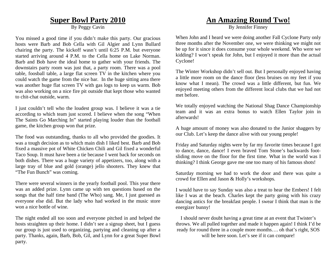## **Super Bowl Party 2010**

By Peggy Cavin

You missed a good time if you didn't make this party. Our gracious hosts were Barb and Bob Cella with Gil Algier and Lynn Bullard chairing the party. The kickoff wasn't until 6:25 P.M. but everyone started arriving around 4 P.M. to the Cella home on Lake Norman. Barb and Bob have the ideal home to gather with your friends. The downstairs party room was just that, a party room. There was a pool table, foosball table, a large flat screen TV in the kitchen where you could watch the game from the nice bar. In the huge sitting area there was another huge flat screen TV with gas logs to keep us warm. Bob was also working on a nice fire pit outside that kept those who wanted to chit-chat outside, warm.

I just couldn't tell who the loudest group was. I believe it was a tie according to which team just scored. I believe when the song "When The Saints Go Marching In" started playing louder than the football game, the kitchen group won that prize.

The food was outstanding, thanks to all who provided the goodies. It was a tough decision as to which main dish I liked best. Barb and Bob fixed a massive pot of White Chicken Chili and Gil fixed a wonderful Taco Soup. It must have been a tie because I went back for seconds on both dishes. There was a huge variety of appetizers, too, along with a large tray of blue and gold (orange) jello shooters. They knew that "The Fun Bunch" was coming.

There were several winners in the yearly football pool. This year there was an added prize. Lynn came up with ten questions based on the songs that the half time band (The Who) sang. Me, I just guessed as everyone else did. But the lady who had worked in the music store won a nice bottle of wine.

The night ended all too soon and everyone pitched in and helped the hosts straighten up their home. I didn't see a signup sheet, but I guess our group is just used to organizing, partying and cleaning up after a party. Thanks, again, Barb, Bob, Gil, and Lynn for a great Super Bowl party.

## **An Amazing Round Two!**

By Jennifer Finney

When John and I heard we were doing another Fall Cyclone Party only three months after the November one, we were thinking we might not be up for it since it does consume your whole weekend. Who were we kidding? I won't speak for John, but I enjoyed it more than the actual Cyclone!

The Winter Workshop didn't sell out. But I personally enjoyed having a little more room on the dance floor (less bruises on my feet if you know what I mean). The crowd was a little different, but fun. We enjoyed meeting others from the different local clubs that we had not met before.

We totally enjoyed watching the National Shag Dance Championship team and it was an extra bonus to watch Ellen Taylor join in afterwards!

A huge amount of money was also donated to the Junior shaggers by our Club. Let's keep the dance alive with our young people!

Friday and Saturday nights were by far my favorite times because I got to dance, dance, dance! I even braved Tom Stone's backwards footsliding move on the floor for the first time. What in the world was I thinking? I think George gave me one too many of his famous shots!

Saturday morning we had to work the door and there was quite a crowd for Ellen and Jason & Holly's workshops.

I would have to say Sunday was also a treat to hear the Embers! I felt like I was at the beach. Charles kept the party going with his crazy dancing antics for the breakfast people. I swear I think that man is the energizer bunny!

I should never doubt having a great time at an event that Twister's throws. We all pulled together and made it happen again! I think I'd be ready for round three in a couple more months…. oh that's right, SOS will be here soon. Let's see if it can compare!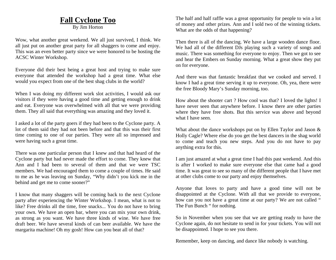#### **Fall Cyclone Too**

By Jim Horton

Wow, what another great weekend. We all just survived, I think. We all just put on another great party for all shaggers to come and enjoy. This was an even better party since we were honored to be hosting the ACSC Winter Workshop.

Everyone did their best being a great host and trying to make sure everyone that attended the workshop had a great time. What else would you expect from one of the best shag clubs in the world?

When I was doing my different work slot activities, I would ask our visitors if they were having a good time and getting enough to drink and eat. Everyone was overwhelmed with all that we were providing them. They all said that everything was amazing and they loved it.

I asked a lot of the party goers if they had been to the Cyclone party. A lot of them said they had not been before and that this was their first time coming to one of our parties. They were all so impressed and were having such a great time.

There was one particular person that I knew and that had heard of the Cyclone party but had never made the effort to come. They knew that Ann and I had been to several of them and that we were TSC members. We had encouraged them to come a couple of times. He said to me as he was leaving on Sunday, "Why didn't you kick me in the behind and get me to come sooner?"

I know that many shaggers will be coming back to the next Cyclone party after experiencing the Winter Workshop. I mean, what is not to like? Free drinks all the time, free snacks... You do not have to bring your own. We have an open bar, where you can mix your own drink, as strong as you want. We have three kinds of wine. We have free draft beer. We have several kinds of can beer available. We have the margarita machine! Oh my gosh! How can you beat all of that?

The half and half raffle was a great opportunity for people to win a lot of money and other prizes. Ann and I sold two of the winning tickets. What are the odds of that happening?

Then there is all of the dancing. We have a large wooden dance floor. We had all of the different DJs playing such a variety of songs and music. There was something for everyone to enjoy. Then we got to see and hear the Embers on Sunday morning. What a great show they put on for everyone.

And there was that fantastic breakfast that we cooked and served. I know I had a great time serving it up to everyone. Oh, yea, there were the free Bloody Mary's Sunday morning, too.

How about the shooter cart ? How cool was that? I loved the lights! I have never seen that anywhere before. I know there are other parties where they have free shots. But this service was above and beyond what I have seen.

What about the dance workshops put on by Ellen Taylor and Jason & Holly Cagle? Where else do you get the best dancers in the shag world to come and teach you new steps. And you do not have to pay anything extra for this.

I am just amazed at what a great time I had this past weekend. And this is after I worked to make sure everyone else that came had a good time. It was great to see so many of the different people that I have met at other clubs come to our party and enjoy themselves.

Anyone that loves to party and have a good time will not be disappointed at the Cyclone. With all that we provide to everyone, how can you not have a great time at our party? We are not called " The Fun Bunch " for nothing.

So in November when you see that we are getting ready to have the Cyclone again, do not hesitate to send in for your tickets. You will not be disappointed. I hope to see you there.

Remember, keep on dancing, and dance like nobody is watching.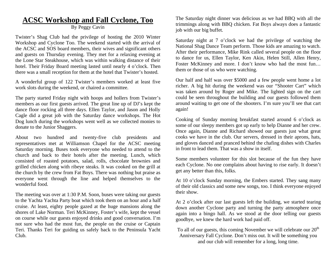## **ACSC Workshop and Fall Cyclone, Too**

#### By Peggy Cavin

Twister's Shag Club had the privilege of hosting the 2010 Winter Workshop and Cyclone Too. The weekend started with the arrival of the ACSC and SOS board members, their wives and significant others and guests on Thursday evening. They met for a relaxing evening at the Lone Star Steakhouse, which was within walking distance of their hotel. Their Friday Board meeting lasted until nearly 4 o'clock. Then there was a small reception for them at the hotel that Twister's hosted.

A wonderful group of 122 Twister's members worked at least five work slots during the weekend, or chaired a committee.

The party started Friday night with hoops and hollers from Twister's members as our first guests arrived. The great line up of DJ's kept the dance floor rocking all three days. Ellen Taylor, and Jason and Holly Cagle did a great job with the Saturday dance workshops. The Hot Dog lunch during the workshops went well as we collected monies to donate to the Junior Shaggers.

About two hundred and twenty-five club presidents and representatives met at Williamson Chapel for the ACSC meeting Saturday morning. Buses took everyone who needed to attend to the church and back to their hotels after the meeting. Lunch, which consisted of roasted potatoes, salad, rolls, chocolate brownies and grilled chicken along with ribeye steaks. It was cooked on the grill at the church by the crew from Fat Boys. There was nothing but praise as everyone went through the line and helped themselves to the wonderful food.

The meeting was over at 1:30 P.M. Soon, buses were taking our guests to the Yachta Yachta Party boat which took them on an hour and a half cruise. At least, eighty people gazed at the huge mansions along the shores of Lake Norman. Teri McKinney, Foster's wife, kept the vessel on course while our guests enjoyed drinks and good conversation. I'm not sure who had the most fun, the people on the cruise or Captain Teri. Thanks Teri for guiding us safely back to the Peninsula Yacht Club.

The Saturday night dinner was delicious as we had BBQ with all the trimmings along with BBQ chicken. Fat Boys always does a fantastic job with our big buffet.

Saturday night at 7 o'clock we had the privilege of watching the National Shag Dance Team perform. Those kids are amazing to watch. After their performance, Mike Rink called several people on the floor to dance for us, Ellen Taylor, Ken Akin, Helen Still, Allen Henry, Foster McKinney and more. I don't know who had the most fun... them or those of us who were watching.

Our half and half was over \$5000 and a few people went home a lot richer. A big hit during the weekend was our "Shooter Cart" which was taken around by Roger and Mike. The lighted sign on the cart could be seen throughout the building and our guests followed them around waiting to get one of the shooters. I'm sure you'll see that cart again!

Cooking of Sunday morning breakfast started around 6 o'clock as some of our sleepy members got up early to help Dianne and her crew. Once again, Dianne and Richard showed our guests just what great cooks we have in the club. Our servers, dressed in their aprons, hats, and gloves danced and pranced behind the chafing dishes with Charles in front to lead them. That was a show in itself.

Some members volunteer for this slot because of the fun they have each Cyclone. No one complains about having to rise early. It doesn't get any better than this, folks.

At 10 o'clock Sunday morning, the Embers started. They sang many of their old classics and some new songs, too. I think everyone enjoyed their show.

At 2 o'clock after our last guests left the building, we started tearing down another Cyclone party and turning the party atmosphere once again into a bingo hall. As we stood at the door telling our guests goodbye, we knew the hard work had paid off.

To all of our guests, this coming November we will celebrate our  $20<sup>th</sup>$ Anniversary Fall Cyclone. Don't miss out. It will be something you and our club will remember for a long, long time.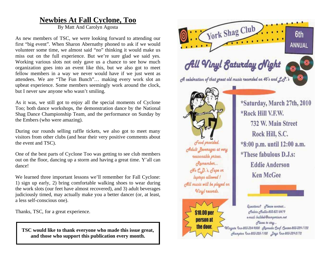## **Newbies At Fall Cyclone, Too**

By Matt And Carolyn Agosta

As new members of TSC, we were looking forward to attending our first "big event". When Sharon Abernathy phoned to ask if we would volunteer some time, we almost said "no" thinking it would make us miss out on the full experience. But we're sure glad we said yes. Working various slots not only gave us a chance to see how much organization goes into an event like this, but we also got to meet fellow members in a way we never would have if we just went as attendees. We are "The Fun Bunch"… making every work slot an upbeat experience. Some members seemingly work around the clock, but I never saw anyone who wasn't smiling.

As it was, we still got to enjoy all the special moments of Cyclone Too; both dance workshops, the demonstration dance by the National Shag Dance Championship Team, and the performance on Sunday by the Embers (who were amazing).

During our rounds selling raffle tickets, we also got to meet many visitors from other clubs (and hear their very positive comments about the event and TSC).

One of the best parts of Cyclone Too was getting to see club members out on the floor, dancing up a storm and having a great time. Y'all can dance!

We learned three important lessons we'll remember for Fall Cyclone: 1) sign up early, 2) bring comfortable walking shoes to wear during the work slots (our feet have almost recovered), and 3) adult beverages judiciously timed, may actually make you a better dancer (or, at least, a less self-conscious one).

Thanks, TSC, for a great experience.

**TSC would like to thank everyone who made this issue great, and those who support this publication every month.** 

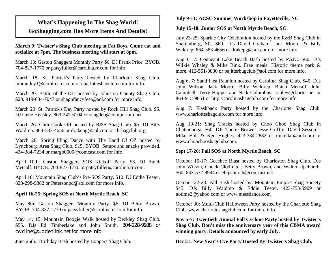## **What's Happening In The Shag World! GoShagging.com Has More Items And Details!**

**March 9: Twister's Shag Club meeting at Fat Boys. Come eat and socialize at 7pm. The business meeting will start at 8pm.** 

March 13: Gaston Shaggers Monthly Party \$6. DJ Frank Price. BYOB. 704-827-1770 or patsyfuller@carolina.rr.com for info.

March 18: St. Patrick's Party hosted by Charlotte Shag Club. mbrantley1@carolina.rr.com or charlotteshagclub.com for info.

March 20: Battle of the DJs hosted by Johnston County Shag Club. \$20. 919-634-7047 or shagnfancyfeet@aol.com for more info.

March 20: St. Patrick's Day Party hosted by Rock Hill Shag Club. \$5. DJ Gene Hensley. 803-242-6104 or shagdeb@comporium.net.

March 26: Chili Cook Off hosted by R&B Shag Club. \$5. DJ Billy Waldrep. 864-583-4656 or drakepg@aol.com or rbshagclub.org.

March 28: Spring Fling Dance with The Band Of OZ hosted by Lynchburg Area Shag Club. \$15. BYOB. Setups and snacks provided. 434-384-7234 or margo0000@comcast.com for info.

April 10th: Gaston Shaggers SOS Kickoff Party. \$6. DJ Butch Metcalf. BYOB. 704-827-1770 or patsyfuller@carolina.rr.com.

April 10: Mountain Shag Club's Pre-SOS Party. \$10. DJ Eddie Teeter. 828-298-9382 or Petersonpd@aol.com for more info.

#### **April 16-25: Spring SOS at North Myrtle Beach, SC**

May 8th: Gaston Shaggers Monthly Party. \$6. DJ Betty Brown. BYOB. 704-827-1770 or patsyfuller@carolina.rr.com for info.

May 14, 15: Mountain Boogie Walk hosted by Beckley Shag Club. \$55. DJs Ed Timberlake and John Smith. 304-228-9938 or cwcline@suddenlink.net for more info.

June 26th.: Birthday Bash hosted by Boppers Shag Club.

#### **July 9-11: ACSC Summer Workshop in Fayetteville, NC**

#### **July 15-18: Junior SOS at North Myrtle Beach, SC**

July 23-25: Sparkle City Celebration hosted by the R&B Shag Club in Spartanburg, SC. \$60. DJs David Graham, Jack Moore, & Billy Waldrep. 864-583-4656 or drakepg@aol.com for more info.

Aug 6, 7: Conneaut Lake Beach Bash hosted by PAJC. \$60. DJs Wilkie Whaley & Mike Rink. Free meals. Historic theme park & more. 412-551-0830 or pajitterbugclub@aol.com for more info.

Aug 6, 7: Sand Flea Reunion hosted by Carolina Shag Club. \$45. DJs John Wilson, Jack Moore, Billy Waldrep, Butch Metcalf, John Campbell, Terry Hopper and Nick Columbus. jrcoley@charter.net or 864-915-9851 or http://carolinashagclub.com for more info.

Aug 7: Flashback Party hosted by the Charlotte Shag Club. www.charlotteshagclub.com for more info.

Aug 19-21: Shag Tracks hosted by Choo Choo Shag Club in Chattanooga. \$60. DJs Tootie Brown, Jesse Griffin, David Sessoms, Mike Hall & Ken Hughes. 423-334-2882 or rmkellar@aol.com or www.choochooshagclub.com.

#### **Sept 17-26: Fall SOS at North Myrtle Beach, SC**

October 15-17: Geechee Blast hosted by Charleston Shag Club. DJs John Wilson, Chuck Clodfelter, Betty Brown, and Walter Upchurch. \$60. 843-572-9994 or elupchurch@comcast.net

October 22-23: Fall Bash hosted by: Mountain Empire Shag Society \$45. DJs Billy Waldrep & Eddie Teeter. 423-753-5909 or notime2@yahoo.com or www.messdance.com

October 30: Multi-Club Halloween Party hosted by the Charlotte Shag Club. www.charlotteshagclub.com for more info.

**Nov 5-7: Twentieth Annual Fall Cyclone Party hosted by Twister's Shag Club. Don't miss the anniversary year of this CBMA award winning party. Details announced by early July.** 

**Dec 31: New Year's Eve Party Hosted By Twister's Shag Club.**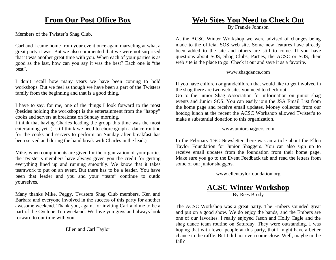## **From Our Post Office Box**

Members of the Twister's Shag Club,

Carl and I came home from your event once again marveling at what a great party it was. But we also commented that we were not surprised that it was another great time with you. When each of your parties is as good as the last, how can you say it was the best? Each one is "the best".

I don't recall how many years we have been coming to hold workshops. But we feel as though we have been a part of the Twisters family from the beginning and that is a good thing.

I have to say, for me, one of the things I look forward to the most (besides holding the workshop) is the entertainment from the "happy" cooks and servers at breakfast on Sunday morning.

I think that having Charles leading the group this time was the most entertaining yet. (I still think we need to choreograph a dance routine for the cooks and servers to perform on Sunday after breakfast has been served and during the band break with Charles in the lead.)

Mike, when compliments are given for the organization of your parties the Twister's members have always given you the credit for getting everything lined up and running smoothly. We know that it takes teamwork to put on an event. But there has to be a leader. You have been that leader and you and your "team" continue to outdo yourselves.

Many thanks Mike, Peggy, Twisters Shag Club members, Ken and Barbara and everyone involved in the success of this party for another awesome weekend. Thank you, again, for inviting Carl and me to be a part of the Cyclone Too weekend. We love you guys and always look forward to our time with you.

#### Ellen and Carl Taylor

#### **Web Sites You Need to Check Out**

By Frankie Johnson

At the ACSC Winter Workshop we were advised of changes being made to the official SOS web site. Some new features have already been added to the site and others are still to come. If you have questions about SOS, Shag Clubs, Parties, the ACSC or SOS, their web site is the place to go. Check it out and save it as a favorite.

#### www.shagdance.com

If you have children or grandchildren that would like to get involved in the shag there are two web sites you need to check out.

Go to the Junior Shag Association for information on junior shag events and Junior SOS. You can easily join the JSA Email List from the home page and receive email updates. Money collected from our hotdog lunch at the recent the ACSC Workshop allowed Twister's to make a substantial donation to this organization.

#### www.juniorshaggers.com

In the February TSC Newsletter there was an article about the Ellen Taylor Foundation for Junior Shaggers. You can also sign up to receive email updates from the foundation from their home page. Make sure you go to the Event Feedback tab and read the letters from some of our junior shaggers.

www.ellentaylorfoundation.org

## **ACSC Winter Workshop**

By Rees Brody

The ACSC Workshop was a great party. The Embers sounded great and put on a good show. We do enjoy the bands, and the Embers are one of our favorites. I really enjoyed Jason and Holly Cagle and the shag dance team routine on Saturday. They were outstanding. I was hoping that with fewer people at this party, that I might have a better chance in the raffle. But I did not even come close. Well, maybe in the fall?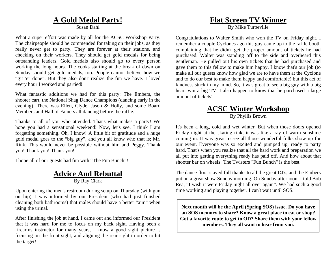#### **A Gold Medal Party!**

Susan Dahl

What a super effort was made by all for the ACSC Workshop Party. The chairpeople should be commended for taking on their jobs, as they really never get to party. They are forever at their stations, and checking on their workers. They should get gold medals for being outstanding leaders. Gold medals also should go to every person working the long hours. The cooks starting at the break of dawn on Sunday should get gold medals, too. People cannot believe how we "git 'er done". But they also don't realize the fun we have. I loved every hour I worked and partied!

What fantastic additions we had for this party: The Embers, the shooter cart, the National Shag Dance Champions (dancing early in the evening). There was Ellen, Clyde, Jason & Holly, and some Board Members and Hall of Famers all dancing before the raffle.

Thanks to all of you who attended. That's what makes a party! We hope you had a sensational weekend! Now, let's see, I think I am forgetting something. Oh, I know! A little bit of gratitude and a huge gold medal goes to the "big guy", and you all know who that is; Mr. Rink. This would never be possible without him and Peggy. Thank you! Thank you! Thank you!

I hope all of our guests had fun with "The Fun Bunch"!

#### **Advice And Rebuttal** By Ray Clark

Upon entering the men's restroom during setup on Thursday (with gun on hip) I was informed by our President (who had just finished cleaning both bathrooms) that males should have a better "aim" when using the urinal.

After finishing the job at hand, I came out and informed our President that it was hard for me to focus on my back sight. Having been a firearms instructor for many years, I know a good sight picture is focusing on the front sight, and aligning the rear sight in order to hit the target!

#### **Flat Screen TV Winner**

By Mike Turbeville

Congratulations to Walter Smith who won the TV on Friday night. I remember a couple Cyclones ago this guy came up to the raffle booth complaining that he didn't get the proper amount of tickets he had purchased. Walter was standing off to the side and overheard this gentleman. He pulled out his own tickets that he had purchased and gave them to this fellow to make him happy. I know that's our job (to make all our guests know how glad we are to have them at the Cyclone and to do our best to make them happy and comfortable) but this act of kindness stuck in my mind. So, it was great to see a big guy with a big heart win a big TV. I also happen to know that he purchased a large amount of tickets!

#### **ACSC Winter Workshop** By Phyllis Brown

It's been a long, cold and wet winter. But when those doors opened Friday night at the skating rink, it was like a ray of warm sunshine coming in. It was great to see all those wonderful folks show up for our event. Everyone was so excited and pumped up, ready to party hard. That's when you realize that all the hard work and preparation we all put into getting everything ready has paid off. And how about that shooter bar on wheels! The Twisters "Fun Bunch" is the best.

The dance floor stayed full thanks to all the great DJ's, and the Embers put on a great show Sunday morning. On Sunday afternoon, I told Bob Rea, "I wish it were Friday night all over again". We had such a good time working and playing together. I can't wait until SOS.

**Next month will be the April (Spring SOS) issue. Do you have an SOS memory to share? Know a great place to eat or shop? Got a favorite route to get to OD? Share them with your fellow members. They all want to hear from you.**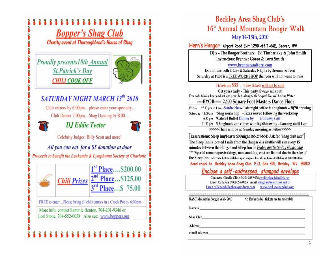

## **Beckley Area Shag Club's** 16<sup>th</sup> Annual Mountain Boogie Walk May 14-15th, 2010

Hern's Hangar Airport Road Exit 125B off I-64E, Beaver, WV

DJ's - The Booger Brothers: Ed Timberlake & John Smith **Instructors: Brennar Goree & Torri Smith** 

www.brennarandtorri.com

Exhibitions both Friday & Saturday Nights by Brennar & Torri Saturday at 11:00 is a FREE WORKSHOP that you will not want to miss

#### Tickets are \$55 - 1 day tickets will not be sold

Get yours early - This party always sells out! Free soft drinks, beer and set-ups provided along with Anget® Natural Spring Water ----BYOB----- 2,400 Square Foot Masters Dance Floor

\*7:30 pm to 1 am - Sandwiches- Late night coffee & doughnuts - 50/50 drawing Friday Saturday 11:00 am \*Shag workshop - Pizza served following the workshop 6:30 pm \*Catered Buffet Dinner by Harmony Café 11:30 pm \*Doughnuts and coffee with 50/50 drawing -Dancing until 1 am

>>>>>There will be no Sunday morning activities>>>>>

[Reservations: Sleep Inn/Beaver \$60/night 888-259-8545 Ask for "shag club rate"] The Sleep Inn is located 1 mile from the Hangar & a shuttle will run every 15 minutes between the Hangar and Sleep Inn on Friday and Saturday nights only \*\*\*\*Special room requests (kings, non-smoking, etc.) are limited due to the size of the Sleep Inn. Alternate hotel available upon request by calling Karen Callahan at 800-294-0855. Send check to: Beckley Area Shag Club, P.O. Box 395, Beckley, WV 25802

## Enclose a self-addressed, stamped envelope

Contacts: Charlie Cline @ 304-228-9938 cwcline@suddenlink.net Karen Callahan @ 800-294-0855 email: shagbasc@earthlink.net or karen.callahan@alleghenyproducts.com www.beckleyshagclub.com

| <b>BASC Mountain Boogie Walk 2010</b> | No Refunds but tickets are transferable |
|---------------------------------------|-----------------------------------------|
| Name(s)                               |                                         |
| Shag Club,                            |                                         |
|                                       |                                         |
| <b>Address</b>                        |                                         |
| e-mail address:                       |                                         |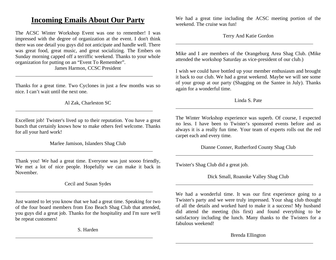## **Incoming Emails About Our Party**

The ACSC Winter Workshop Event was one to remember! I was impressed with the degree of organization at the event. I don't think there was one detail you guys did not anticipate and handle well. There was great food, great music, and great socializing. The Embers on Sunday morning capped off a terriffic weekend. Thanks to your whole organization for putting on an "Event To Remember".

James Harmon, CCSC President

Thanks for a great time. Two Cyclones in just a few months was so nice. I can't wait until the next one.

Al Zak, Charleston SC

Excellent job! Twister's lived up to their reputation. You have a great bunch that certainly knows how to make others feel welcome. Thanks for all your hard work!

Marlee Jamison, Islanders Shag Club

Thank you! We had a great time. Everyone was just soooo friendly, We met a lot of nice people. Hopefully we can make it back in November.

Cecil and Susan Sydes

Just wanted to let you know that we had a great time. Speaking for two of the four board members from Eno Beach Shag Club that attended, you guys did a great job. Thanks for the hospitality and I'm sure we'll be repeat customers!

S. Harden

We had a great time including the ACSC meeting portion of the weekend. The cruise was fun!

Terry And Katie Gordon

Mike and I are members of the Orangeburg Area Shag Club. (Mike attended the workshop Saturday as vice-president of our club.)

I wish we could have bottled up your member enthusiasm and brought it back to our club. We had a great weekend. Maybe we will see some of your group at our party (Shagging on the Santee in July). Thanks again for a wonderful time.

Linda S. Pate

The Winter Workshop experience was superb. Of course, I expected no less. I have been to Twister's sponsored events before and as always it is a really fun time. Your team of experts rolls out the red carpet each and every time.

Dianne Conner, Rutherford County Shag Club

Twister's Shag Club did a great job.

Dick Small, Roanoke Valley Shag Club

We had a wonderful time. It was our first experience going to a Twister's party and we were truly impressed. Your shag club thought of all the details and worked hard to make it a success! My husband did attend the meeting (his first) and found everything to be satisfactory including the lunch. Many thanks to the Twisters for a fabulous weekend!

Brenda Ellington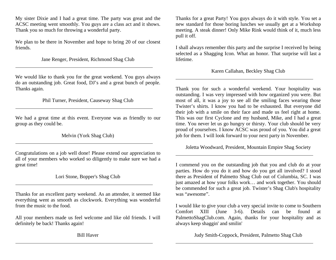My sister Dixie and I had a great time. The party was great and the ACSC meeting went smoothly. You guys are a class act and it shows. Thank you so much for throwing a wonderful party.

We plan to be there in November and hope to bring 20 of our closest friends.

Jane Renger, President, Richmond Shag Club

We would like to thank you for the great weekend. You guys always do an outstanding job. Great food, DJ's and a great bunch of people. Thanks again.

Phil Turner, President, Causeway Shag Club

We had a great time at this event. Everyone was as friendly to our group as they could be.

Melvin (York Shag Club)

Congratulations on a job well done! Please extend our appreciation to all of your members who worked so diligently to make sure we had a great time!

Lori Stone, Bopper's Shag Club

Thanks for an excellent party weekend. As an attendee, it seemed like everything went as smooth as clockwork. Everything was wonderful from the music to the food.

All your members made us feel welcome and like old friends. I will definitely be back! Thanks again!

Thanks for a great Party! You guys always do it with style. You set a new standard for those boring lunches we usually get at a Workshop meeting. A steak dinner! Only Mike Rink would think of it, much less pull it off.

I shall always remember this party and the surprise I received by being selected as a Shagging Icon. What an honor. That surprise will last a lifetime.

Karen Callahan, Beckley Shag Club

Thank you for such a wonderful weekend. Your hospitality was outstanding. I was very impressed with how organized you were. But most of all, it was a joy to see all the smiling faces wearing those Twister's shirts. I know you had to be exhausted. But everyone did their job with a smile on their face and made us feel right at home. This was our first Cyclone and my husband, Mike, and I had a great time. You never let us go hungry or thirsty. Your club should be very proud of yourselves. I know ACSC was proud of you. You did a great job for them. I will look forward to your next party in November.

Joletta Woodward, President, Mountain Empire Shag Society

I commend you on the outstanding job that you and club do at your parties. How do you do it and how do you get all involved? I stood there as President of Palmetto Shag Club out of Columbia, SC. I was just amazed at how your folks work… and work together. You should be commended for such a great job. Twister's Shag Club's hospitality was "awesome".

I would like to give your club a very special invite to come to Southern Comfort XIII (June 3-6). Details can be found at PalmettoShagClub.com. Again, thanks for your hospitality and as always keep shaggin' and smilin'

Judy Smith-Coppock, President, Palmetto Shag Club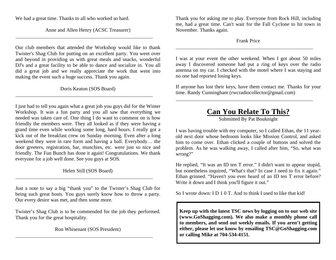We had a great time. Thanks to all who worked so hard.

Anne and Allen Henry (ACSC Treasurer)

Our club members that attended the Workshop would like to thank Twister's Shag Club for putting on an excellent party. You went over and beyond in providing us with great meals and snacks, wonderful DJ's and a great facility to be able to dance and socialize in. You all did a great job and we really appreciate the work that went into making the event such a huge success. Thank you again.

#### Doris Keaton (SOS Board)

I just had to tell you again what a great job you guys did for the Winter Workshop. It was a fun party and you all saw that everything we needed was taken care of. One thing I do want to comment on is how friendly the members were. They all looked as if they were having a grand time even while working some long, hard hours. I really got a kick out of the breakfast crew on Sunday morning. Even after a long weekend they were in rare form and having a ball. Everybody… the door greeters, registration, bar, munchies, etc. were just so nice and friendly. The Fun Bunch has done it again! Congratulations. We thank everyone for a job well done. See you guys at SOS.

#### Helen Still (SOS Board)

Just a note to say a big "thank you" to the Twister's Shag Club for being such great hosts. You guys surely know how to throw a party. Our every desire was met, and then some more.

Twister's Shag Club is to be commended for the job they performed. Thank you for the great hospitality.

Ron Whisenant (SOS President)

Thank you for asking me to play. Everyone from Rock Hill, including me, had a great time. Can't wait for the Fall Cyclone to hit town in November. Thanks again.

#### Frank Price

I was at your event the other weekend. When I got about 50 miles away I discovered someone had put a ring of keys over the radio antenna on my car. I checked with the motel where I was staying and no one had reported losing keys.

If anyone has lost their keys, have them contact me. Thanks for your time. Randy Cunningham (rwcradiocollector@gmail.com)

## **Can You Relate To This?**

Submitted By Pat Bouknight

I was having trouble with my computer, so I called Ethan, the 11 yearold next door whose bedroom looks like Mission Control, and asked him to come over. Ethan clicked a couple of buttons and solved the problem. As he was walking away, I called after him, "So, what was wrong?"

He replied, "It was an ID ten T error." I didn't want to appear stupid, but nonetheless inquired, "What's that? In case I need to fix it again." Ethan grinned. "Haven't you ever heard of an ID ten T error before? Write it down and I think you'll figure it out."

So I wrote down: I D 1 0 T. And to think I used to like that kid!

**Keep up with the latest TSC news by logging on to our web site (www.GoShagging.com). We also make a monthly phone call to members, and send out weekly emails. If you aren't getting either, please let use know by emailing TSC@GoShagging.com or calling Mike at 704-534-4151.**